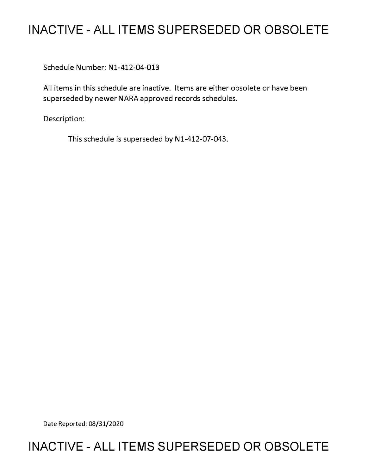# **INACTIVE - ALL ITEMS SUPERSEDED OR OBSOLETE**

Schedule Number: N1-412-04-013

All items in this schedule are inactive. Items are either obsolete or have been superseded by newer NARA approved records schedules.

Description:

This schedule is superseded by N1-412-07-043.

Date Reported: 08/31/2020

## **INACTIVE - ALL ITEMS SUPERSEDED OR OBSOLETE**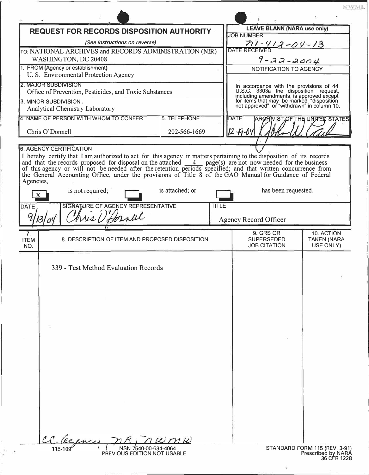|                                                                                | <b>REQUEST FOR RECORDS DISPOSITION AUTHORITY</b>                                                                                                                                                                                                                                                                                                                                                                              | <b>LEAVE BLANK (NARA use only)</b> |                                              |                     |                                                                                                                                                                                                                         |
|--------------------------------------------------------------------------------|-------------------------------------------------------------------------------------------------------------------------------------------------------------------------------------------------------------------------------------------------------------------------------------------------------------------------------------------------------------------------------------------------------------------------------|------------------------------------|----------------------------------------------|---------------------|-------------------------------------------------------------------------------------------------------------------------------------------------------------------------------------------------------------------------|
| (See Instructions on reverse)                                                  |                                                                                                                                                                                                                                                                                                                                                                                                                               |                                    | <b>JOB NUMBER</b>                            |                     |                                                                                                                                                                                                                         |
| TO: NATIONAL ARCHIVES and RECORDS ADMINISTRATION (NIR)                         |                                                                                                                                                                                                                                                                                                                                                                                                                               |                                    | $71 - 412 - 04 - 13$<br><b>DATE RECEIVED</b> |                     |                                                                                                                                                                                                                         |
| WASHINGTON, DC 20408                                                           |                                                                                                                                                                                                                                                                                                                                                                                                                               |                                    | _.<br>9-22-2004                              |                     |                                                                                                                                                                                                                         |
| 1. FROM (Agency or establishment)                                              |                                                                                                                                                                                                                                                                                                                                                                                                                               |                                    | NOTIFICATION TO AGENCY                       |                     |                                                                                                                                                                                                                         |
|                                                                                | U.S. Environmental Protection Agency                                                                                                                                                                                                                                                                                                                                                                                          |                                    |                                              |                     |                                                                                                                                                                                                                         |
| 2. MAJOR SUBDIVISION<br>Office of Prevention, Pesticides, and Toxic Substances |                                                                                                                                                                                                                                                                                                                                                                                                                               |                                    |                                              |                     |                                                                                                                                                                                                                         |
| 3. MINOR SUBDIVISION                                                           |                                                                                                                                                                                                                                                                                                                                                                                                                               |                                    |                                              |                     | In accordance with the provisions of 44<br>U.S.C. 3303a the disposition request,<br>including amendments, is approved except<br>for items that may be marked "disposition<br>not approved" or "withdrawn" in column 10. |
|                                                                                | Analytical Chemistry Laboratory                                                                                                                                                                                                                                                                                                                                                                                               |                                    |                                              |                     |                                                                                                                                                                                                                         |
|                                                                                | 4. NAME OF PERSON WITH WHOM TO CONFER                                                                                                                                                                                                                                                                                                                                                                                         | 5. TELEPHONE                       | <b>DATE</b>                                  |                     | <b>ARCHIVIST OF THE UNITED STATES</b>                                                                                                                                                                                   |
| Chris O'Donnell<br>202-566-1669                                                |                                                                                                                                                                                                                                                                                                                                                                                                                               |                                    | $12 - 19 - 04$                               |                     |                                                                                                                                                                                                                         |
|                                                                                |                                                                                                                                                                                                                                                                                                                                                                                                                               |                                    |                                              |                     |                                                                                                                                                                                                                         |
| Agencies,<br>DATE                                                              | I hereby certify that I am authorized to act for this agency in matters pertaining to the disposition of its records<br>and that the records proposed for disposal on the attached $\frac{4}{\sqrt{2}}$ page(s) are not now needed for t<br>the General Accounting Office, under the provisions of Title 8 of the GAO Manual for Guidance of Federal<br>is not required;<br>SIGNATURE OF AGENCY REPRESENTATIVE<br>his D'Annul | is attached; or<br><b>TITLE</b>    | <b>Agency Record Officer</b>                 | has been requested. |                                                                                                                                                                                                                         |
|                                                                                |                                                                                                                                                                                                                                                                                                                                                                                                                               |                                    |                                              |                     |                                                                                                                                                                                                                         |
| 7.<br><b>ITEM</b><br>NO.                                                       | 8. DESCRIPTION OF ITEM AND PROPOSED DISPOSITION                                                                                                                                                                                                                                                                                                                                                                               |                                    | 9. GRS OR<br><b>SUPERSEDED</b>               | <b>JOB CITATION</b> | 10. ACTION<br><b>TAKEN (NARA</b><br>USE ONLY)                                                                                                                                                                           |
|                                                                                | 339 - Test Method Evaluation Records                                                                                                                                                                                                                                                                                                                                                                                          |                                    |                                              |                     |                                                                                                                                                                                                                         |
|                                                                                | NSN 7540-00-634-4064<br>115-109                                                                                                                                                                                                                                                                                                                                                                                               | $w \, m \, \omega$                 |                                              |                     | STANDARD FORM 115 (REV. 3-91)                                                                                                                                                                                           |

 $\Bigg| \, ,$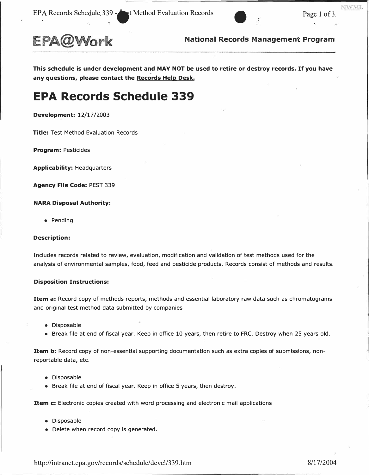

EPA@Work **National Records Management Program** 

**This schedule is under development and MAY NOT be used to retire or destroy records. If you have any questions, please contact the Records Help Desk.** 

## **EPA Records Schedule 339**

**Development:** 12/17/2003

**Title:** Test Method Evaluation Records

**Program:** Pesticides

**Applicability:** Headquarters

**Agency File Code:** PEST 339

#### **NARA Disposal Authority:**

• Pending

#### **Description:**

Includes records related to review, evaluation, modification and validation of test methods used for the analysis of environmental samples, food, feed and pesticide products. Records consist of methods and results.

#### **Disposition Instructions:**

**Item a:** Record copy of methods reports, methods and essential laboratory raw data such as chromatograms and original test method data submitted by companies

- Disposable
- Break file at end of fiscal year. Keep in office 10 years, then retire to FRC. Destroy when 25 years old.

**Item b:** Record copy of non-essential supporting documentation such as extra copies of submissions, nonreportable data, etc.

- Disposable
- Break file at end of fiscal year. Keep in office 5 years, then destroy.

**Item c:** Electronic copies created with word processing and electronic mail applications

- Disposable
- Delete when record copy is generated.

http://intranet.epa.gov/records/schedule/devel/339.htm 8/17/2004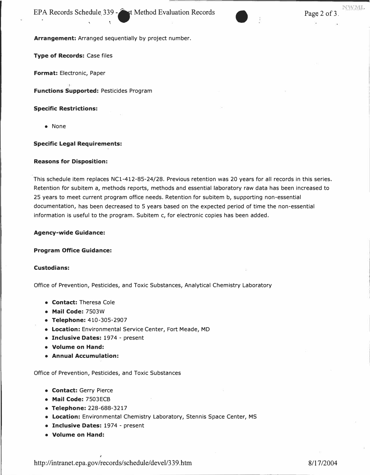**Arrangement:** Arranged sequentially by project number.

**Type of Records: Case files** 

**Format:** Electronic, Paper

**Functions Supported:** Pesticides Program

**Specific Restrictions:** 

• None

## **Specific Legal Requirements:**

### **Reasons for Disposition:**

This schedule item replaces NCl-412-85-24/28. Previous retention was 20 years for all records in this series. Retention for subitem a, methods reports, methods and essential laboratory raw data has been increased to 25 years to meet current program office needs. Retention for subitem b, supporting non-essential documentation, has been decreased to 5 years based on the expected period of time the non-essential information is useful to the program. Subitem c, for electronic copies has been added.

### **Agency-wide Guidance:**

### **Program Office Guidance:**

### **Custodians:**

Office of Prevention, Pesticides, and Toxic Substances, Analytical Chemistry Laboratory

- **Contact:** Theresa Cole
- **Mail Code:** 7503W
- **Telephone:** 410-305-2907
- **Location:** Environmental Service Center, Fort Meade, MD
- **Inclusive Dates:** 1974 present
- **Volume on Hand:**
- **Annual Accumulation:**

Office of Prevention, Pesticides, and Toxic Substances

- **Contact:** Gerry Pierce
- **Mail Code:** 7503ECB
- **Telephone:** 228-688-3217
- **Location:** Environmental Chemistry Laboratory, Stennis Space Center, MS
- **Inclusive Dates:** 1974 present
- **Volume on Hand:**

<http://intranet.epa.gov/records/schedule/>devel/339.htm 8/17/2004